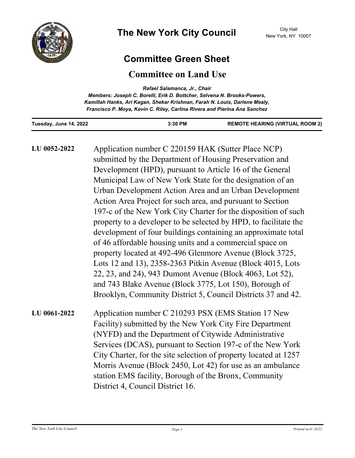

## **Committee Green Sheet**

## **Committee on Land Use**

|                        | Rafael Salamanca, Jr., Chair                                               |                                        |
|------------------------|----------------------------------------------------------------------------|----------------------------------------|
|                        | Members: Joseph C. Borelli, Erik D. Bottcher, Selvena N. Brooks-Powers,    |                                        |
|                        | Kamillah Hanks, Ari Kagan, Shekar Krishnan, Farah N. Louis, Darlene Mealy, |                                        |
|                        | Francisco P. Moya, Kevin C. Riley, Carlina Rivera and Pierina Ana Sanchez  |                                        |
| Tuesday, June 14, 2022 | 3:30 PM                                                                    | <b>REMOTE HEARING (VIRTUAL ROOM 2)</b> |

| LU 0052-2022 | Application number C 220159 HAK (Sutter Place NCP)<br>submitted by the Department of Housing Preservation and<br>Development (HPD), pursuant to Article 16 of the General<br>Municipal Law of New York State for the designation of an<br>Urban Development Action Area and an Urban Development<br>Action Area Project for such area, and pursuant to Section<br>197-c of the New York City Charter for the disposition of such<br>property to a developer to be selected by HPD, to facilitate the<br>development of four buildings containing an approximate total<br>of 46 affordable housing units and a commercial space on<br>property located at 492-496 Glenmore Avenue (Block 3725,<br>Lots 12 and 13), 2358-2363 Pitkin Avenue (Block 4015, Lots<br>22, 23, and 24), 943 Dumont Avenue (Block 4063, Lot 52),<br>and 743 Blake Avenue (Block 3775, Lot 150), Borough of<br>Brooklyn, Community District 5, Council Districts 37 and 42. |
|--------------|---------------------------------------------------------------------------------------------------------------------------------------------------------------------------------------------------------------------------------------------------------------------------------------------------------------------------------------------------------------------------------------------------------------------------------------------------------------------------------------------------------------------------------------------------------------------------------------------------------------------------------------------------------------------------------------------------------------------------------------------------------------------------------------------------------------------------------------------------------------------------------------------------------------------------------------------------|
| LU 0061-2022 | Application number C 210293 PSX (EMS Station 17 New<br>Facility) submitted by the New York City Fire Department<br>(NYFD) and the Department of Citywide Administrative<br>Services (DCAS), pursuant to Section 197-c of the New York<br>City Charter, for the site selection of property located at 1257<br>Morris Avenue (Block 2450, Lot 42) for use as an ambulance<br>station EMS facility, Borough of the Bronx, Community<br>District 4, Council District 16.                                                                                                                                                                                                                                                                                                                                                                                                                                                                              |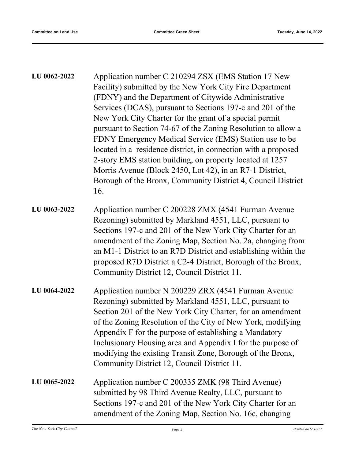| LU 0062-2022 | Application number C 210294 ZSX (EMS Station 17 New<br>Facility) submitted by the New York City Fire Department<br>(FDNY) and the Department of Citywide Administrative<br>Services (DCAS), pursuant to Sections 197-c and 201 of the<br>New York City Charter for the grant of a special permit<br>pursuant to Section 74-67 of the Zoning Resolution to allow a<br>FDNY Emergency Medical Service (EMS) Station use to be<br>located in a residence district, in connection with a proposed<br>2-story EMS station building, on property located at 1257<br>Morris Avenue (Block 2450, Lot 42), in an R7-1 District,<br>Borough of the Bronx, Community District 4, Council District<br>16. |
|--------------|-----------------------------------------------------------------------------------------------------------------------------------------------------------------------------------------------------------------------------------------------------------------------------------------------------------------------------------------------------------------------------------------------------------------------------------------------------------------------------------------------------------------------------------------------------------------------------------------------------------------------------------------------------------------------------------------------|
| LU 0063-2022 | Application number C 200228 ZMX (4541 Furman Avenue<br>Rezoning) submitted by Markland 4551, LLC, pursuant to<br>Sections 197-c and 201 of the New York City Charter for an<br>amendment of the Zoning Map, Section No. 2a, changing from<br>an M1-1 District to an R7D District and establishing within the<br>proposed R7D District a C2-4 District, Borough of the Bronx,<br>Community District 12, Council District 11.                                                                                                                                                                                                                                                                   |
| LU 0064-2022 | Application number N 200229 ZRX (4541 Furman Avenue<br>Rezoning) submitted by Markland 4551, LLC, pursuant to<br>Section 201 of the New York City Charter, for an amendment<br>of the Zoning Resolution of the City of New York, modifying<br>Appendix F for the purpose of establishing a Mandatory<br>Inclusionary Housing area and Appendix I for the purpose of<br>modifying the existing Transit Zone, Borough of the Bronx,<br>Community District 12, Council District 11.                                                                                                                                                                                                              |
| LU 0065-2022 | Application number C 200335 ZMK (98 Third Avenue)<br>submitted by 98 Third Avenue Realty, LLC, pursuant to<br>Sections 197-c and 201 of the New York City Charter for an<br>amendment of the Zoning Map, Section No. 16c, changing                                                                                                                                                                                                                                                                                                                                                                                                                                                            |